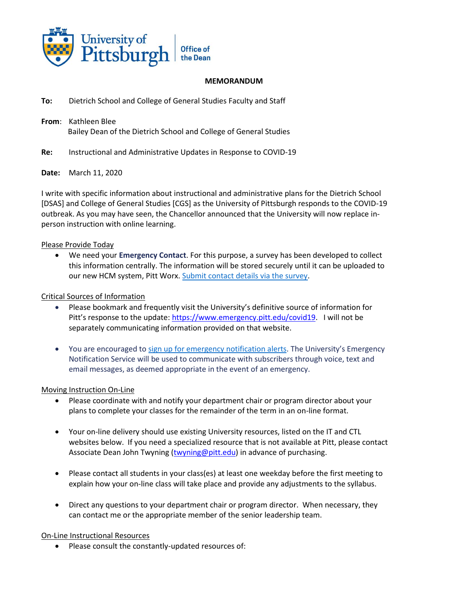

#### **MEMORANDUM**

- **To:** Dietrich School and College of General Studies Faculty and Staff
- **From**: Kathleen Blee Bailey Dean of the Dietrich School and College of General Studies
- **Re:** Instructional and Administrative Updates in Response to COVID-19

## **Date:** March 11, 2020

I write with specific information about instructional and administrative plans for the Dietrich School [DSAS] and College of General Studies [CGS] as the University of Pittsburgh responds to the COVID-19 outbreak. As you may have seen, the Chancellor announced that the University will now replace inperson instruction with online learning.

## Please Provide Today

• We need your **Emergency Contact**. For this purpose, a survey has been developed to collect this information centrally. The information will be stored securely until it can be uploaded to our new HCM system, Pitt Worx[. Submit contact details via the survey.](https://humanresources.cmail20.com/t/j-l-qlickl-tkclukdti-d/)

#### Critical Sources of Information

- Please bookmark and frequently visit the University's definitive source of information for Pitt's response to the update: [https://www.emergency.pitt.edu/covid19.](https://www.emergency.pitt.edu/covid19) I will not be separately communicating information provided on that website.
- You are encouraged to [sign up for emergency notification alerts](https://humanresources.cmail20.com/t/j-l-qlickl-tkclukdti-b/). The University's Emergency Notification Service will be used to communicate with subscribers through voice, text and email messages, as deemed appropriate in the event of an emergency.

#### Moving Instruction On-Line

- Please coordinate with and notify your department chair or program director about your plans to complete your classes for the remainder of the term in an on-line format.
- Your on-line delivery should use existing University resources, listed on the IT and CTL websites below. If you need a specialized resource that is not available at Pitt, please contact Associate Dean John Twyning [\(twyning@pitt.edu\)](mailto:twyning@pitt.edu) in advance of purchasing.
- Please contact all students in your class(es) at least one weekday before the first meeting to explain how your on-line class will take place and provide any adjustments to the syllabus.
- Direct any questions to your department chair or program director. When necessary, they can contact me or the appropriate member of the senior leadership team.

## On-Line Instructional Resources

• Please consult the constantly-updated resources of: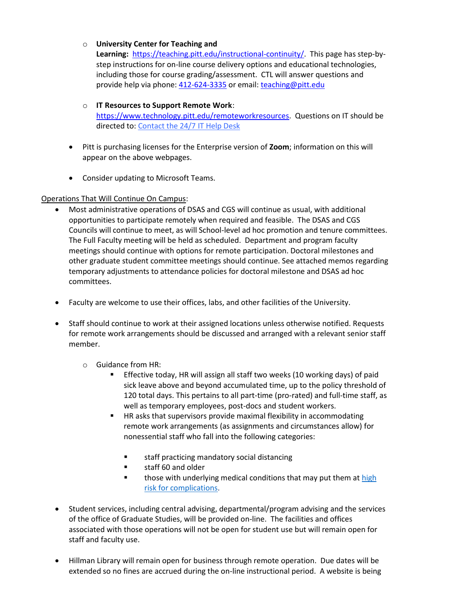# o **University Center for Teaching and**

**Learning:** [https://teaching.pitt.edu/instructional-continuity/.](https://teaching.pitt.edu/instructional-continuity/) This page has step-bystep instructions for on-line course delivery options and educational technologies, including those for course grading/assessment. CTL will answer questions and provide help via phone: [412-624-3335](tel:1-412-624-3335) or email: [teaching@pitt.edu](mailto:teaching@pitt.edu)

- o **IT Resources to Support Remote Work**: [https://www.technology.pitt.edu/remoteworkresources.](https://www.technology.pitt.edu/remoteworkresources) Questions on IT should be directed to[: Contact the 24/7](https://www.technology.pitt.edu/247-it-help-desk) IT Help Desk
- Pitt is purchasing licenses for the Enterprise version of **Zoom**; information on this will appear on the above webpages.
- Consider updating to Microsoft Teams.

# Operations That Will Continue On Campus:

- Most administrative operations of DSAS and CGS will continue as usual, with additional opportunities to participate remotely when required and feasible. The DSAS and CGS Councils will continue to meet, as will School-level ad hoc promotion and tenure committees. The Full Faculty meeting will be held as scheduled. Department and program faculty meetings should continue with options for remote participation. Doctoral milestones and other graduate student committee meetings should continue. See attached memos regarding temporary adjustments to attendance policies for doctoral milestone and DSAS ad hoc committees.
- Faculty are welcome to use their offices, labs, and other facilities of the University.
- Staff should continue to work at their assigned locations unless otherwise notified. Requests for remote work arrangements should be discussed and arranged with a relevant senior staff member.
	- o Guidance from HR:
		- Effective today, HR will assign all staff two weeks (10 working days) of paid sick leave above and beyond accumulated time, up to the policy threshold of 120 total days. This pertains to all part-time (pro-rated) and full-time staff, as well as temporary employees, post-docs and student workers.
		- HR asks that supervisors provide maximal flexibility in accommodating remote work arrangements (as assignments and circumstances allow) for nonessential staff who fall into the following categories:
			- staff practicing mandatory social distancing
			- staff 60 and older
			- those with underlying medical conditions that may put them at high [risk for complications.](https://humanresources.cmail20.com/t/j-l-qliklc-tkclukdti-t/)
- Student services, including central advising, departmental/program advising and the services of the office of Graduate Studies, will be provided on-line. The facilities and offices associated with those operations will not be open for student use but will remain open for staff and faculty use.
- Hillman Library will remain open for business through remote operation. Due dates will be extended so no fines are accrued during the on-line instructional period. A website is being